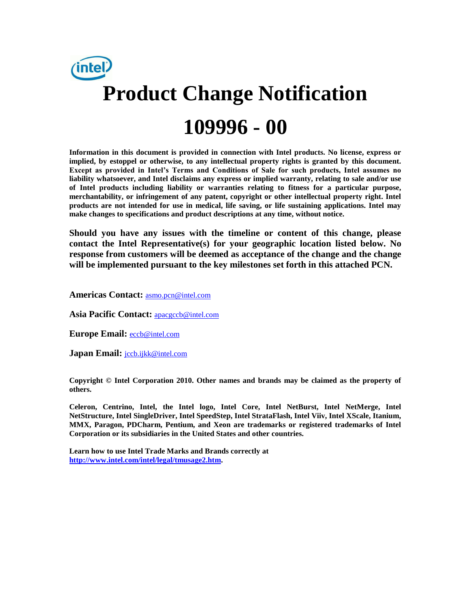

**Information in this document is provided in connection with Intel products. No license, express or implied, by estoppel or otherwise, to any intellectual property rights is granted by this document. Except as provided in Intel's Terms and Conditions of Sale for such products, Intel assumes no liability whatsoever, and Intel disclaims any express or implied warranty, relating to sale and/or use of Intel products including liability or warranties relating to fitness for a particular purpose, merchantability, or infringement of any patent, copyright or other intellectual property right. Intel products are not intended for use in medical, life saving, or life sustaining applications. Intel may make changes to specifications and product descriptions at any time, without notice.**

**Should you have any issues with the timeline or content of this change, please contact the Intel Representative(s) for your geographic location listed below. No response from customers will be deemed as acceptance of the change and the change will be implemented pursuant to the key milestones set forth in this attached PCN.** 

**Americas Contact:** [asmo.pcn@intel.com](mailto:asmo.pcn@intel.com) 

**Asia Pacific Contact:** [apacgccb@intel.com](mailto:apacgccb@intel.com) 

**Europe Email:** [eccb@intel.com](mailto:eccb@intel.com) 

**Japan Email:** [jccb.ijkk@intel.com](mailto:jccb.ijkk@intel.com) 

**Copyright © Intel Corporation 2010. Other names and brands may be claimed as the property of others.**

**Celeron, Centrino, Intel, the Intel logo, Intel Core, Intel NetBurst, Intel NetMerge, Intel NetStructure, Intel SingleDriver, Intel SpeedStep, Intel StrataFlash, Intel Viiv, Intel XScale, Itanium, MMX, Paragon, PDCharm, Pentium, and Xeon are trademarks or registered trademarks of Intel Corporation or its subsidiaries in the United States and other countries.**

**Learn how to use Intel Trade Marks and Brands correctly at [http://www.intel.com/intel/legal/tmusage2.htm.](http://www.intel.com/intel/legal/tmusage2.htm)**